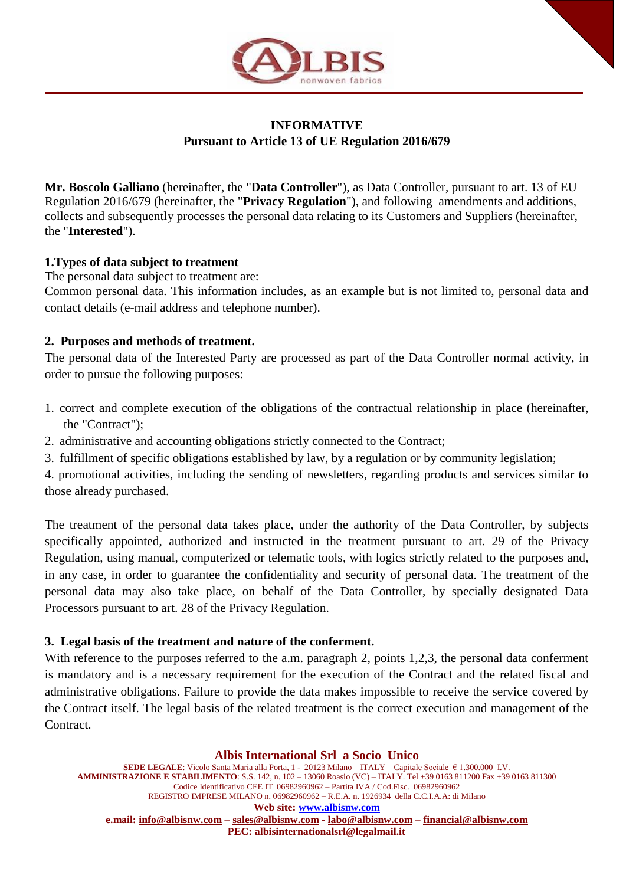

# **INFORMATIVE Pursuant to Article 13 of UE Regulation 2016/679**

**Mr. Boscolo Galliano** (hereinafter, the "**Data Controller**"), as Data Controller, pursuant to art. 13 of EU Regulation 2016/679 (hereinafter, the "**Privacy Regulation**"), and following amendments and additions, collects and subsequently processes the personal data relating to its Customers and Suppliers (hereinafter, the "**Interested**").

### **1.Types of data subject to treatment**

The personal data subject to treatment are:

Common personal data. This information includes, as an example but is not limited to, personal data and contact details (e-mail address and telephone number).

## **2. Purposes and methods of treatment.**

The personal data of the Interested Party are processed as part of the Data Controller normal activity, in order to pursue the following purposes:

- 1. correct and complete execution of the obligations of the contractual relationship in place (hereinafter, the "Contract");
- 2. administrative and accounting obligations strictly connected to the Contract;
- 3. fulfillment of specific obligations established by law, by a regulation or by community legislation;

4. promotional activities, including the sending of newsletters, regarding products and services similar to those already purchased.

The treatment of the personal data takes place, under the authority of the Data Controller, by subjects specifically appointed, authorized and instructed in the treatment pursuant to art. 29 of the Privacy Regulation, using manual, computerized or telematic tools, with logics strictly related to the purposes and, in any case, in order to guarantee the confidentiality and security of personal data. The treatment of the personal data may also take place, on behalf of the Data Controller, by specially designated Data Processors pursuant to art. 28 of the Privacy Regulation.

### **3. Legal basis of the treatment and nature of the conferment.**

With reference to the purposes referred to the a.m. paragraph 2, points 1,2,3, the personal data conferment is mandatory and is a necessary requirement for the execution of the Contract and the related fiscal and administrative obligations. Failure to provide the data makes impossible to receive the service covered by the Contract itself. The legal basis of the related treatment is the correct execution and management of the Contract.

**Albis International Srl a Socio Unico SEDE LEGALE**: Vicolo Santa Maria alla Porta, 1 - 20123 Milano – ITALY – Capitale Sociale € 1.300.000 I.V. **AMMINISTRAZIONE E STABILIMENTO**: S.S. 142, n. 102 – 13060 Roasio (VC) – ITALY. Tel +39 0163 811200 Fax +39 0163 811300 Codice Identificativo CEE IT 06982960962 – Partita IVA / Cod.Fisc. 06982960962 REGISTRO IMPRESE MILANO n. 06982960962 – R.E.A. n. 1926934 della C.C.I.A.A: di Milano **Web site: [www.albisnw.com](http://www.albisnw.com/) e.mail: [info@albisnw.com](mailto:info@albisnw.com) – [sales@albisnw.com](mailto:sales@albisnw.com) - [labo@albisnw.com](mailto:labo@albisnw.com) – [financial@albisnw.com](mailto:financial@albisnw.com) PEC: albisinternationalsrl@legalmail.it**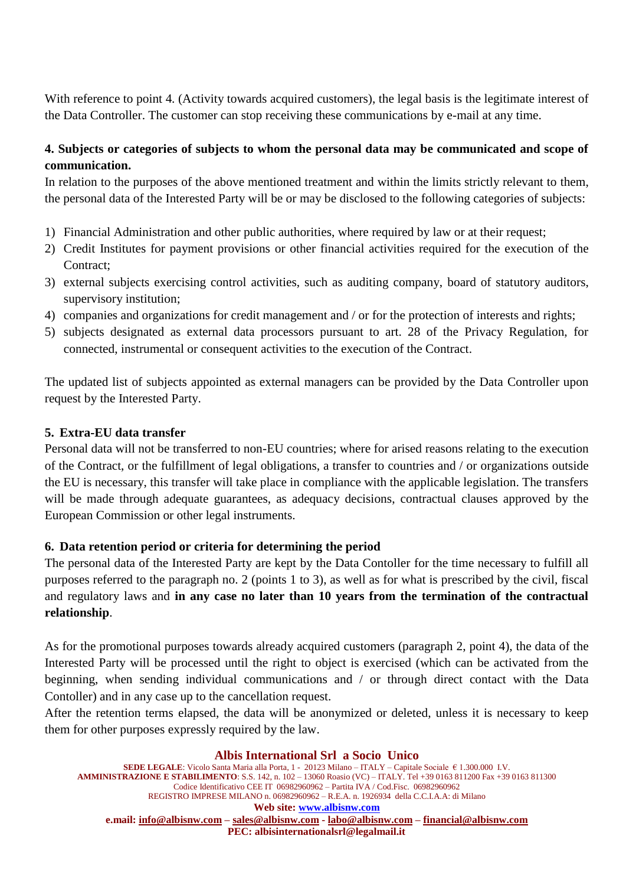With reference to point 4. (Activity towards acquired customers), the legal basis is the legitimate interest of the Data Controller. The customer can stop receiving these communications by e-mail at any time.

# **4. Subjects or categories of subjects to whom the personal data may be communicated and scope of communication.**

In relation to the purposes of the above mentioned treatment and within the limits strictly relevant to them, the personal data of the Interested Party will be or may be disclosed to the following categories of subjects:

- 1) Financial Administration and other public authorities, where required by law or at their request;
- 2) Credit Institutes for payment provisions or other financial activities required for the execution of the Contract;
- 3) external subjects exercising control activities, such as auditing company, board of statutory auditors, supervisory institution;
- 4) companies and organizations for credit management and / or for the protection of interests and rights;
- 5) subjects designated as external data processors pursuant to art. 28 of the Privacy Regulation, for connected, instrumental or consequent activities to the execution of the Contract.

The updated list of subjects appointed as external managers can be provided by the Data Controller upon request by the Interested Party.

## **5. Extra-EU data transfer**

Personal data will not be transferred to non-EU countries; where for arised reasons relating to the execution of the Contract, or the fulfillment of legal obligations, a transfer to countries and / or organizations outside the EU is necessary, this transfer will take place in compliance with the applicable legislation. The transfers will be made through adequate guarantees, as adequacy decisions, contractual clauses approved by the European Commission or other legal instruments.

### **6. Data retention period or criteria for determining the period**

The personal data of the Interested Party are kept by the Data Contoller for the time necessary to fulfill all purposes referred to the paragraph no. 2 (points 1 to 3), as well as for what is prescribed by the civil, fiscal and regulatory laws and **in any case no later than 10 years from the termination of the contractual relationship**.

As for the promotional purposes towards already acquired customers (paragraph 2, point 4), the data of the Interested Party will be processed until the right to object is exercised (which can be activated from the beginning, when sending individual communications and / or through direct contact with the Data Contoller) and in any case up to the cancellation request.

After the retention terms elapsed, the data will be anonymized or deleted, unless it is necessary to keep them for other purposes expressly required by the law.

**Albis International Srl a Socio Unico SEDE LEGALE**: Vicolo Santa Maria alla Porta, 1 - 20123 Milano – ITALY – Capitale Sociale € 1.300.000 I.V. **AMMINISTRAZIONE E STABILIMENTO**: S.S. 142, n. 102 – 13060 Roasio (VC) – ITALY. Tel +39 0163 811200 Fax +39 0163 811300 Codice Identificativo CEE IT 06982960962 – Partita IVA / Cod.Fisc. 06982960962 REGISTRO IMPRESE MILANO n. 06982960962 – R.E.A. n. 1926934 della C.C.I.A.A: di Milano **Web site: [www.albisnw.com](http://www.albisnw.com/) e.mail: [info@albisnw.com](mailto:info@albisnw.com) – [sales@albisnw.com](mailto:sales@albisnw.com) - [labo@albisnw.com](mailto:labo@albisnw.com) – [financial@albisnw.com](mailto:financial@albisnw.com) PEC: albisinternationalsrl@legalmail.it**